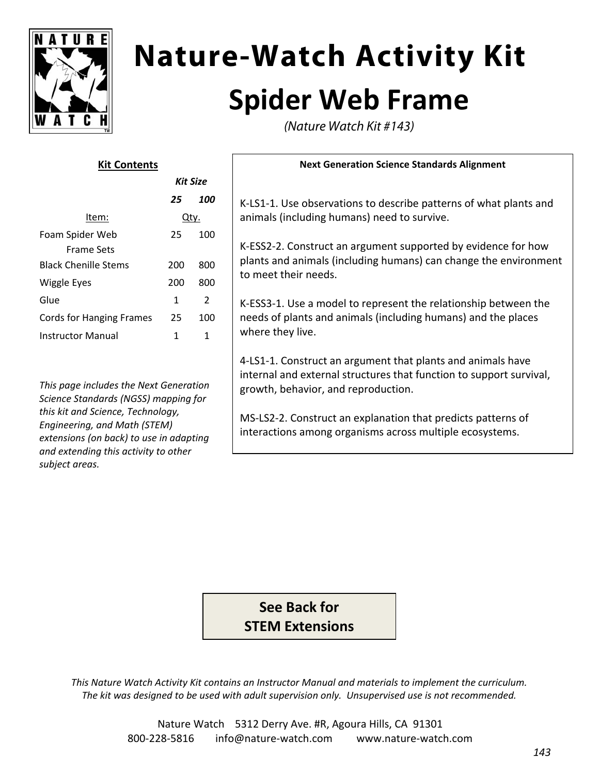

# **Nature-Watch Activity Kit Spider Web Frame**

(Nature Watch Kit #143)

| Kit Contents                |          |     |
|-----------------------------|----------|-----|
|                             | Kit Size |     |
|                             | 25       | 100 |
| ltem:                       | Qty.     |     |
| Foam Spider Web             | 25       | 100 |
| Frame Sets                  |          |     |
| <b>Black Chenille Stems</b> | 200      | 800 |
| Wiggle Eyes                 | 200      | 800 |
| Glue                        | 1        | 2   |
| Cords for Hanging Frames    | 25       | 100 |
| Instructor Manual           | 1        | 1   |
|                             |          |     |

*This page includes the Next Generation Science Standards (NGSS) mapping for this kit and Science, Technology, Engineering, and Math (STEM) extensions (on back) to use in adapting and extending this activity to other subject areas.*

#### **Next Generation Science Standards Alignment**

K‐LS1‐1. Use observations to describe patterns of what plants and animals (including humans) need to survive.

K‐ESS2‐2. Construct an argument supported by evidence for how plants and animals (including humans) can change the environment to meet their needs.

K‐ESS3‐1. Use a model to represent the relationship between the needs of plants and animals (including humans) and the places where they live.

4‐LS1‐1. Construct an argument that plants and animals have internal and external structures that function to support survival, growth, behavior, and reproduction.

MS‐LS2‐2. Construct an explanation that predicts patterns of interactions among organisms across multiple ecosystems.

**See Back for STEM Extensions**

*This Nature Watch Activity Kit contains an Instructor Manual and materials to implement the curriculum. The kit was designed to be used with adult supervision only. Unsupervised use is not recommended.*

> Nature Watch 5312 Derry Ave. #R, Agoura Hills, CA 91301 800‐228‐5816 info@nature‐watch.com www.nature‐watch.com